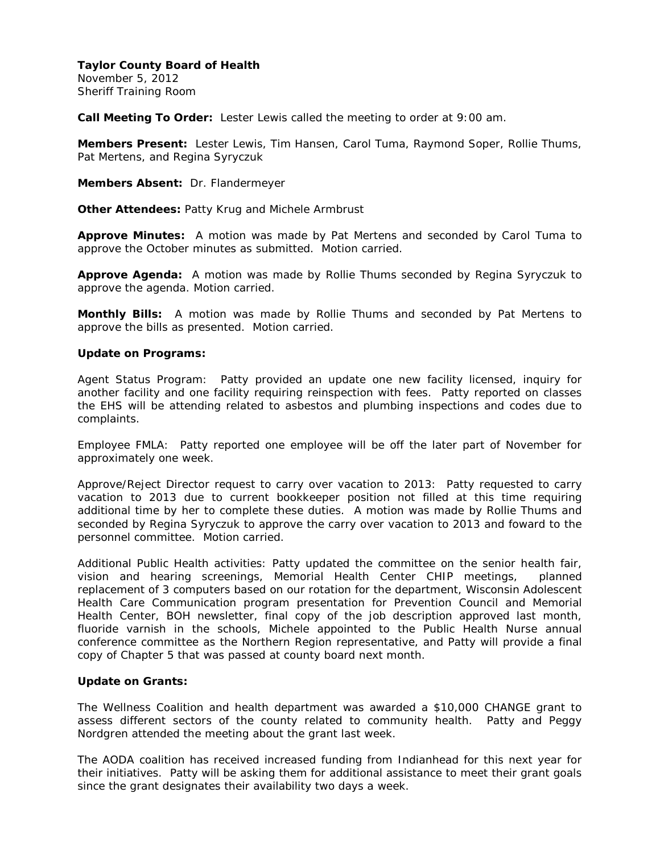November 5, 2012 Sheriff Training Room

**Call Meeting To Order:** Lester Lewis called the meeting to order at 9:00 am.

**Members Present:** Lester Lewis, Tim Hansen, Carol Tuma, Raymond Soper, Rollie Thums, Pat Mertens, and Regina Syryczuk

**Members Absent:** Dr. Flandermeyer

**Other Attendees:** Patty Krug and Michele Armbrust

**Approve Minutes:** A motion was made by Pat Mertens and seconded by Carol Tuma to approve the October minutes as submitted. Motion carried.

**Approve Agenda:** A motion was made by Rollie Thums seconded by Regina Syryczuk to approve the agenda. Motion carried.

**Monthly Bills:** A motion was made by Rollie Thums and seconded by Pat Mertens to approve the bills as presented. Motion carried.

## **Update on Programs:**

Agent Status Program: Patty provided an update one new facility licensed, inquiry for another facility and one facility requiring reinspection with fees. Patty reported on classes the EHS will be attending related to asbestos and plumbing inspections and codes due to complaints.

Employee FMLA: Patty reported one employee will be off the later part of November for approximately one week.

Approve/Reject Director request to carry over vacation to 2013: Patty requested to carry vacation to 2013 due to current bookkeeper position not filled at this time requiring additional time by her to complete these duties. A motion was made by Rollie Thums and seconded by Regina Syryczuk to approve the carry over vacation to 2013 and foward to the personnel committee. Motion carried.

Additional Public Health activities: Patty updated the committee on the senior health fair, vision and hearing screenings, Memorial Health Center CHIP meetings, planned replacement of 3 computers based on our rotation for the department, Wisconsin Adolescent Health Care Communication program presentation for Prevention Council and Memorial Health Center, BOH newsletter, final copy of the job description approved last month, fluoride varnish in the schools, Michele appointed to the Public Health Nurse annual conference committee as the Northern Region representative, and Patty will provide a final copy of Chapter 5 that was passed at county board next month.

#### **Update on Grants:**

The Wellness Coalition and health department was awarded a \$10,000 CHANGE grant to assess different sectors of the county related to community health. Patty and Peggy Nordgren attended the meeting about the grant last week.

The AODA coalition has received increased funding from Indianhead for this next year for their initiatives. Patty will be asking them for additional assistance to meet their grant goals since the grant designates their availability two days a week.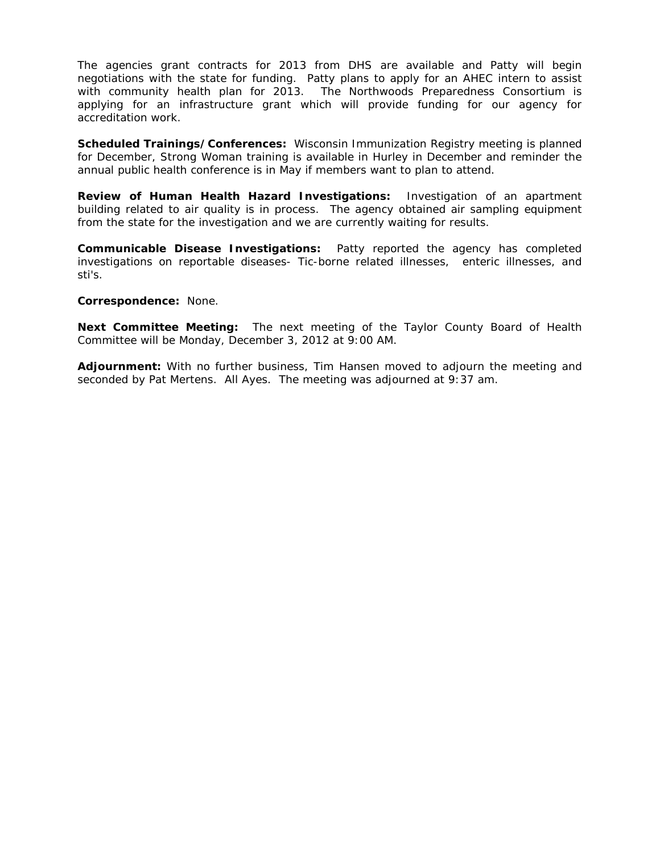The agencies grant contracts for 2013 from DHS are available and Patty will begin negotiations with the state for funding. Patty plans to apply for an AHEC intern to assist with community health plan for 2013. The Northwoods Preparedness Consortium is applying for an infrastructure grant which will provide funding for our agency for accreditation work.

**Scheduled Trainings/Conferences:** Wisconsin Immunization Registry meeting is planned for December, Strong Woman training is available in Hurley in December and reminder the annual public health conference is in May if members want to plan to attend.

**Review of Human Health Hazard Investigations:** Investigation of an apartment building related to air quality is in process. The agency obtained air sampling equipment from the state for the investigation and we are currently waiting for results.

**Communicable Disease Investigations:** Patty reported the agency has completed investigations on reportable diseases- Tic-borne related illnesses, enteric illnesses, and sti's.

#### **Correspondence:** None.

**Next Committee Meeting:** The next meeting of the Taylor County Board of Health Committee will be Monday, December 3, 2012 at 9:00 AM.

**Adjournment:** With no further business, Tim Hansen moved to adjourn the meeting and seconded by Pat Mertens. All Ayes. The meeting was adjourned at 9:37 am.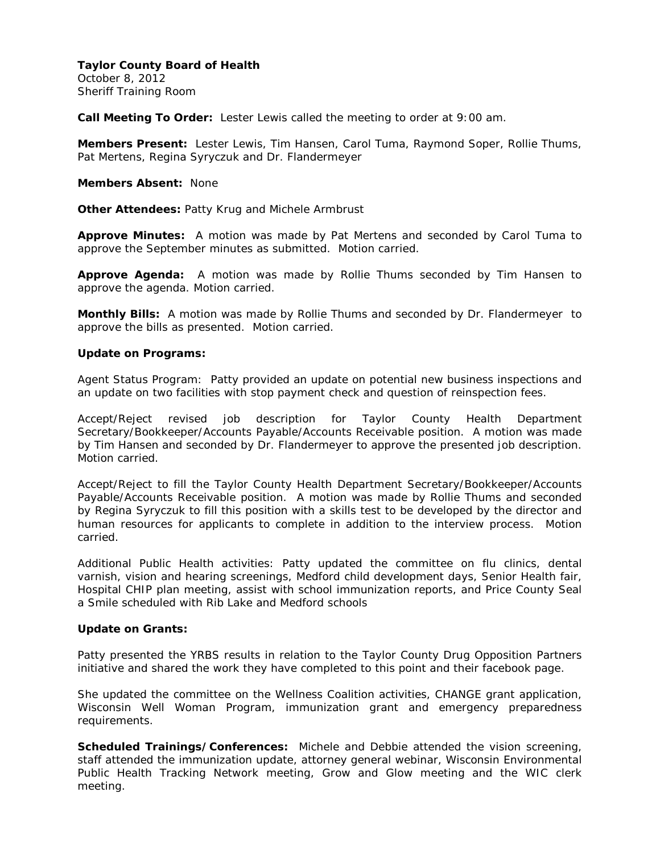October 8, 2012 Sheriff Training Room

**Call Meeting To Order:** Lester Lewis called the meeting to order at 9:00 am.

**Members Present:** Lester Lewis, Tim Hansen, Carol Tuma, Raymond Soper, Rollie Thums, Pat Mertens, Regina Syryczuk and Dr. Flandermeyer

#### **Members Absent:** None

**Other Attendees:** Patty Krug and Michele Armbrust

**Approve Minutes:** A motion was made by Pat Mertens and seconded by Carol Tuma to approve the September minutes as submitted. Motion carried.

**Approve Agenda:** A motion was made by Rollie Thums seconded by Tim Hansen to approve the agenda. Motion carried.

**Monthly Bills:** A motion was made by Rollie Thums and seconded by Dr. Flandermeyer to approve the bills as presented. Motion carried.

## **Update on Programs:**

Agent Status Program: Patty provided an update on potential new business inspections and an update on two facilities with stop payment check and question of reinspection fees.

Accept/Reject revised job description for Taylor County Health Department Secretary/Bookkeeper/Accounts Payable/Accounts Receivable position. A motion was made by Tim Hansen and seconded by Dr. Flandermeyer to approve the presented job description. Motion carried.

Accept/Reject to fill the Taylor County Health Department Secretary/Bookkeeper/Accounts Payable/Accounts Receivable position. A motion was made by Rollie Thums and seconded by Regina Syryczuk to fill this position with a skills test to be developed by the director and human resources for applicants to complete in addition to the interview process. Motion carried.

Additional Public Health activities: Patty updated the committee on flu clinics, dental varnish, vision and hearing screenings, Medford child development days, Senior Health fair, Hospital CHIP plan meeting, assist with school immunization reports, and Price County Seal a Smile scheduled with Rib Lake and Medford schools

# **Update on Grants:**

Patty presented the YRBS results in relation to the Taylor County Drug Opposition Partners initiative and shared the work they have completed to this point and their facebook page.

She updated the committee on the Wellness Coalition activities, CHANGE grant application, Wisconsin Well Woman Program, immunization grant and emergency preparedness requirements.

**Scheduled Trainings/Conferences:** Michele and Debbie attended the vision screening, staff attended the immunization update, attorney general webinar, Wisconsin Environmental Public Health Tracking Network meeting, Grow and Glow meeting and the WIC clerk meeting.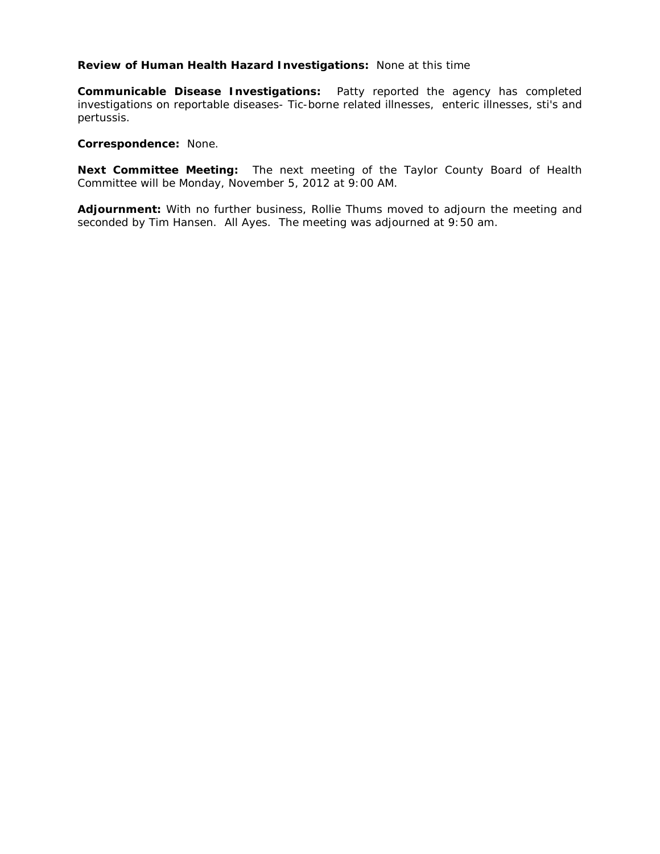## **Review of Human Health Hazard Investigations:** None at this time

**Communicable Disease Investigations:** Patty reported the agency has completed investigations on reportable diseases- Tic-borne related illnesses, enteric illnesses, sti's and pertussis.

### **Correspondence:** None.

**Next Committee Meeting:** The next meeting of the Taylor County Board of Health Committee will be Monday, November 5, 2012 at 9:00 AM.

**Adjournment:** With no further business, Rollie Thums moved to adjourn the meeting and seconded by Tim Hansen. All Ayes. The meeting was adjourned at 9:50 am.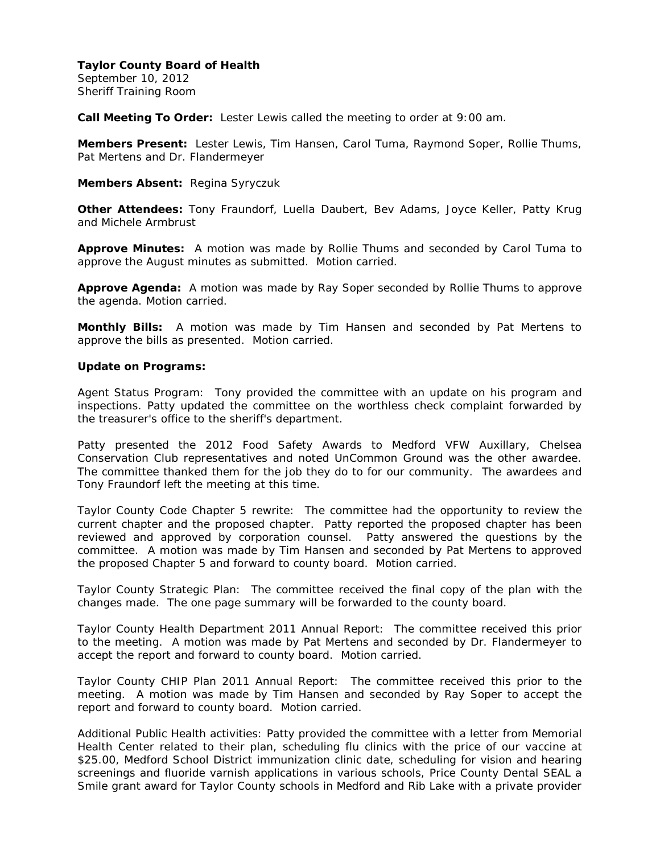September 10, 2012 Sheriff Training Room

**Call Meeting To Order:** Lester Lewis called the meeting to order at 9:00 am.

**Members Present:** Lester Lewis, Tim Hansen, Carol Tuma, Raymond Soper, Rollie Thums, Pat Mertens and Dr. Flandermeyer

**Members Absent:** Regina Syryczuk

**Other Attendees:** Tony Fraundorf, Luella Daubert, Bev Adams, Joyce Keller, Patty Krug and Michele Armbrust

**Approve Minutes:** A motion was made by Rollie Thums and seconded by Carol Tuma to approve the August minutes as submitted. Motion carried.

**Approve Agenda:** A motion was made by Ray Soper seconded by Rollie Thums to approve the agenda. Motion carried.

**Monthly Bills:** A motion was made by Tim Hansen and seconded by Pat Mertens to approve the bills as presented. Motion carried.

#### **Update on Programs:**

Agent Status Program: Tony provided the committee with an update on his program and inspections. Patty updated the committee on the worthless check complaint forwarded by the treasurer's office to the sheriff's department.

Patty presented the 2012 Food Safety Awards to Medford VFW Auxillary, Chelsea Conservation Club representatives and noted UnCommon Ground was the other awardee. The committee thanked them for the job they do to for our community. The awardees and Tony Fraundorf left the meeting at this time.

Taylor County Code Chapter 5 rewrite: The committee had the opportunity to review the current chapter and the proposed chapter. Patty reported the proposed chapter has been reviewed and approved by corporation counsel. Patty answered the questions by the committee. A motion was made by Tim Hansen and seconded by Pat Mertens to approved the proposed Chapter 5 and forward to county board. Motion carried.

Taylor County Strategic Plan: The committee received the final copy of the plan with the changes made. The one page summary will be forwarded to the county board.

Taylor County Health Department 2011 Annual Report: The committee received this prior to the meeting. A motion was made by Pat Mertens and seconded by Dr. Flandermeyer to accept the report and forward to county board. Motion carried.

Taylor County CHIP Plan 2011 Annual Report: The committee received this prior to the meeting. A motion was made by Tim Hansen and seconded by Ray Soper to accept the report and forward to county board. Motion carried.

Additional Public Health activities: Patty provided the committee with a letter from Memorial Health Center related to their plan, scheduling flu clinics with the price of our vaccine at \$25.00, Medford School District immunization clinic date, scheduling for vision and hearing screenings and fluoride varnish applications in various schools, Price County Dental SEAL a Smile grant award for Taylor County schools in Medford and Rib Lake with a private provider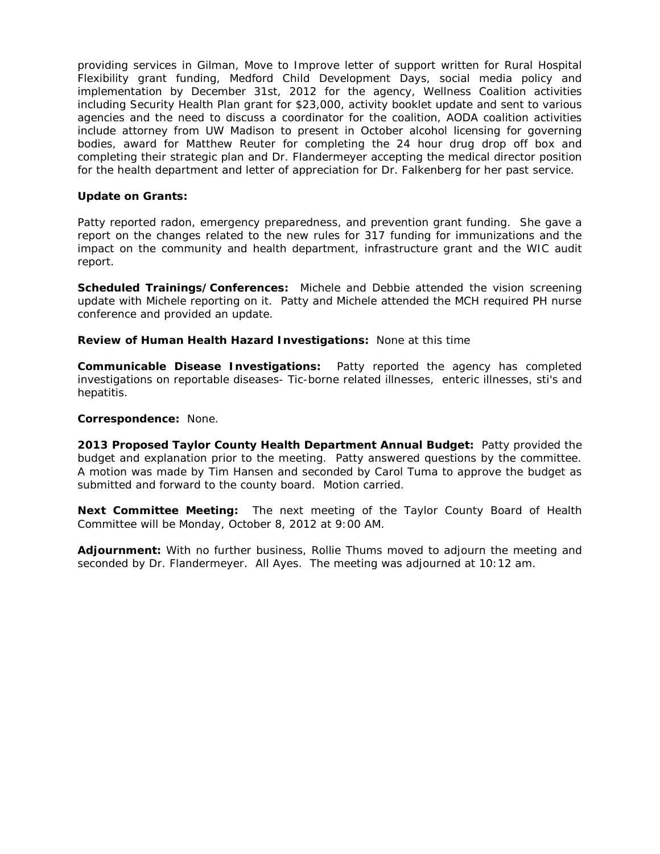providing services in Gilman, Move to Improve letter of support written for Rural Hospital Flexibility grant funding, Medford Child Development Days, social media policy and implementation by December 31st, 2012 for the agency, Wellness Coalition activities including Security Health Plan grant for \$23,000, activity booklet update and sent to various agencies and the need to discuss a coordinator for the coalition, AODA coalition activities include attorney from UW Madison to present in October alcohol licensing for governing bodies, award for Matthew Reuter for completing the 24 hour drug drop off box and completing their strategic plan and Dr. Flandermeyer accepting the medical director position for the health department and letter of appreciation for Dr. Falkenberg for her past service.

## **Update on Grants:**

Patty reported radon, emergency preparedness, and prevention grant funding. She gave a report on the changes related to the new rules for 317 funding for immunizations and the impact on the community and health department, infrastructure grant and the WIC audit report.

**Scheduled Trainings/Conferences:** Michele and Debbie attended the vision screening update with Michele reporting on it. Patty and Michele attended the MCH required PH nurse conference and provided an update.

**Review of Human Health Hazard Investigations:** None at this time

**Communicable Disease Investigations:** Patty reported the agency has completed investigations on reportable diseases- Tic-borne related illnesses, enteric illnesses, sti's and hepatitis.

## **Correspondence:** None.

**2013 Proposed Taylor County Health Department Annual Budget:** Patty provided the budget and explanation prior to the meeting. Patty answered questions by the committee. A motion was made by Tim Hansen and seconded by Carol Tuma to approve the budget as submitted and forward to the county board. Motion carried.

**Next Committee Meeting:** The next meeting of the Taylor County Board of Health Committee will be Monday, October 8, 2012 at 9:00 AM.

**Adjournment:** With no further business, Rollie Thums moved to adjourn the meeting and seconded by Dr. Flandermeyer. All Ayes. The meeting was adjourned at 10:12 am.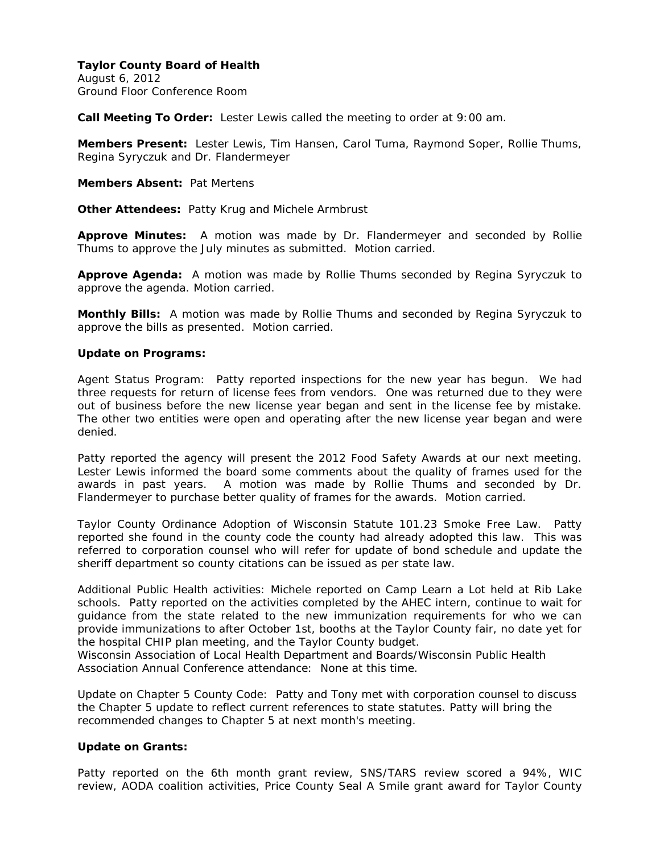August 6, 2012 Ground Floor Conference Room

**Call Meeting To Order:** Lester Lewis called the meeting to order at 9:00 am.

**Members Present:** Lester Lewis, Tim Hansen, Carol Tuma, Raymond Soper, Rollie Thums, Regina Syryczuk and Dr. Flandermeyer

**Members Absent:** Pat Mertens

**Other Attendees:** Patty Krug and Michele Armbrust

**Approve Minutes:** A motion was made by Dr. Flandermeyer and seconded by Rollie Thums to approve the July minutes as submitted. Motion carried.

**Approve Agenda:** A motion was made by Rollie Thums seconded by Regina Syryczuk to approve the agenda. Motion carried.

**Monthly Bills:** A motion was made by Rollie Thums and seconded by Regina Syryczuk to approve the bills as presented. Motion carried.

#### **Update on Programs:**

Agent Status Program: Patty reported inspections for the new year has begun. We had three requests for return of license fees from vendors. One was returned due to they were out of business before the new license year began and sent in the license fee by mistake. The other two entities were open and operating after the new license year began and were denied.

Patty reported the agency will present the 2012 Food Safety Awards at our next meeting. Lester Lewis informed the board some comments about the quality of frames used for the awards in past years. A motion was made by Rollie Thums and seconded by Dr. Flandermeyer to purchase better quality of frames for the awards. Motion carried.

Taylor County Ordinance Adoption of Wisconsin Statute 101.23 Smoke Free Law. Patty reported she found in the county code the county had already adopted this law. This was referred to corporation counsel who will refer for update of bond schedule and update the sheriff department so county citations can be issued as per state law.

Additional Public Health activities: Michele reported on Camp Learn a Lot held at Rib Lake schools. Patty reported on the activities completed by the AHEC intern, continue to wait for guidance from the state related to the new immunization requirements for who we can provide immunizations to after October 1st, booths at the Taylor County fair, no date yet for the hospital CHIP plan meeting, and the Taylor County budget.

Wisconsin Association of Local Health Department and Boards/Wisconsin Public Health Association Annual Conference attendance: None at this time.

Update on Chapter 5 County Code: Patty and Tony met with corporation counsel to discuss the Chapter 5 update to reflect current references to state statutes. Patty will bring the recommended changes to Chapter 5 at next month's meeting.

#### **Update on Grants:**

Patty reported on the 6th month grant review, SNS/TARS review scored a 94%, WIC review, AODA coalition activities, Price County Seal A Smile grant award for Taylor County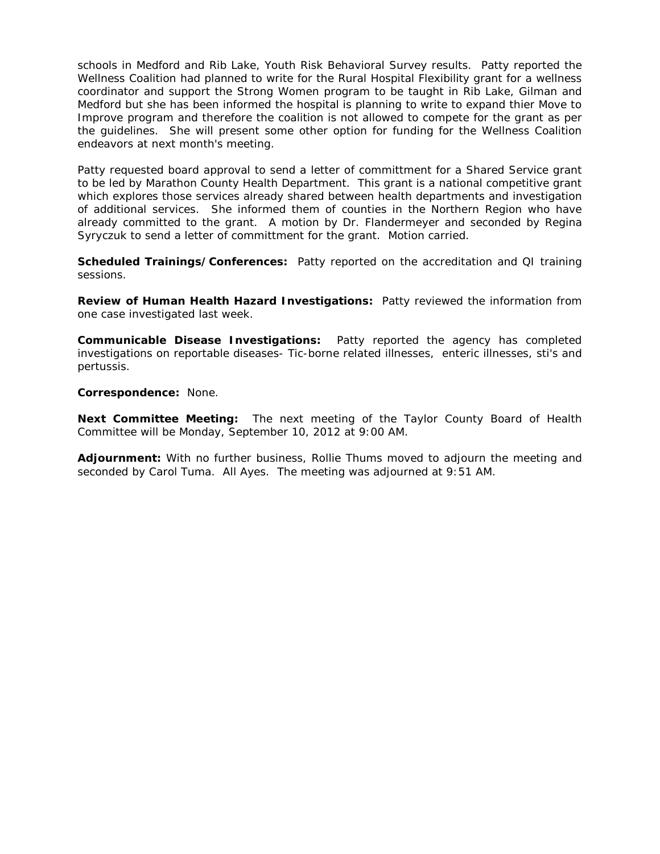schools in Medford and Rib Lake, Youth Risk Behavioral Survey results. Patty reported the Wellness Coalition had planned to write for the Rural Hospital Flexibility grant for a wellness coordinator and support the Strong Women program to be taught in Rib Lake, Gilman and Medford but she has been informed the hospital is planning to write to expand thier Move to Improve program and therefore the coalition is not allowed to compete for the grant as per the guidelines. She will present some other option for funding for the Wellness Coalition endeavors at next month's meeting.

Patty requested board approval to send a letter of committment for a Shared Service grant to be led by Marathon County Health Department. This grant is a national competitive grant which explores those services already shared between health departments and investigation of additional services. She informed them of counties in the Northern Region who have already committed to the grant. A motion by Dr. Flandermeyer and seconded by Regina Syryczuk to send a letter of committment for the grant. Motion carried.

**Scheduled Trainings/Conferences:** Patty reported on the accreditation and QI training sessions.

**Review of Human Health Hazard Investigations:** Patty reviewed the information from one case investigated last week.

**Communicable Disease Investigations:** Patty reported the agency has completed investigations on reportable diseases- Tic-borne related illnesses, enteric illnesses, sti's and pertussis.

**Correspondence:** None.

**Next Committee Meeting:** The next meeting of the Taylor County Board of Health Committee will be Monday, September 10, 2012 at 9:00 AM.

**Adjournment:** With no further business, Rollie Thums moved to adjourn the meeting and seconded by Carol Tuma. All Ayes. The meeting was adjourned at 9:51 AM.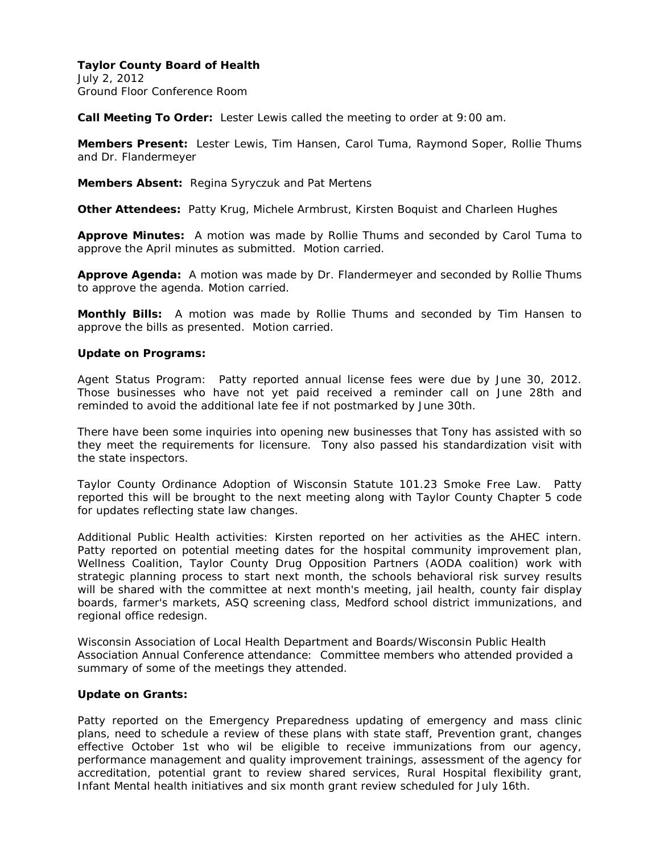July 2, 2012 Ground Floor Conference Room

**Call Meeting To Order:** Lester Lewis called the meeting to order at 9:00 am.

**Members Present:** Lester Lewis, Tim Hansen, Carol Tuma, Raymond Soper, Rollie Thums and Dr. Flandermeyer

**Members Absent:** Regina Syryczuk and Pat Mertens

**Other Attendees:** Patty Krug, Michele Armbrust, Kirsten Boquist and Charleen Hughes

**Approve Minutes:** A motion was made by Rollie Thums and seconded by Carol Tuma to approve the April minutes as submitted. Motion carried.

**Approve Agenda:** A motion was made by Dr. Flandermeyer and seconded by Rollie Thums to approve the agenda. Motion carried.

**Monthly Bills:** A motion was made by Rollie Thums and seconded by Tim Hansen to approve the bills as presented. Motion carried.

## **Update on Programs:**

Agent Status Program: Patty reported annual license fees were due by June 30, 2012. Those businesses who have not yet paid received a reminder call on June 28th and reminded to avoid the additional late fee if not postmarked by June 30th.

There have been some inquiries into opening new businesses that Tony has assisted with so they meet the requirements for licensure. Tony also passed his standardization visit with the state inspectors.

Taylor County Ordinance Adoption of Wisconsin Statute 101.23 Smoke Free Law. Patty reported this will be brought to the next meeting along with Taylor County Chapter 5 code for updates reflecting state law changes.

Additional Public Health activities: Kirsten reported on her activities as the AHEC intern. Patty reported on potential meeting dates for the hospital community improvement plan, Wellness Coalition, Taylor County Drug Opposition Partners (AODA coalition) work with strategic planning process to start next month, the schools behavioral risk survey results will be shared with the committee at next month's meeting, jail health, county fair display boards, farmer's markets, ASQ screening class, Medford school district immunizations, and regional office redesign.

Wisconsin Association of Local Health Department and Boards/Wisconsin Public Health Association Annual Conference attendance: Committee members who attended provided a summary of some of the meetings they attended.

# **Update on Grants:**

Patty reported on the Emergency Preparedness updating of emergency and mass clinic plans, need to schedule a review of these plans with state staff, Prevention grant, changes effective October 1st who wil be eligible to receive immunizations from our agency, performance management and quality improvement trainings, assessment of the agency for accreditation, potential grant to review shared services, Rural Hospital flexibility grant, Infant Mental health initiatives and six month grant review scheduled for July 16th.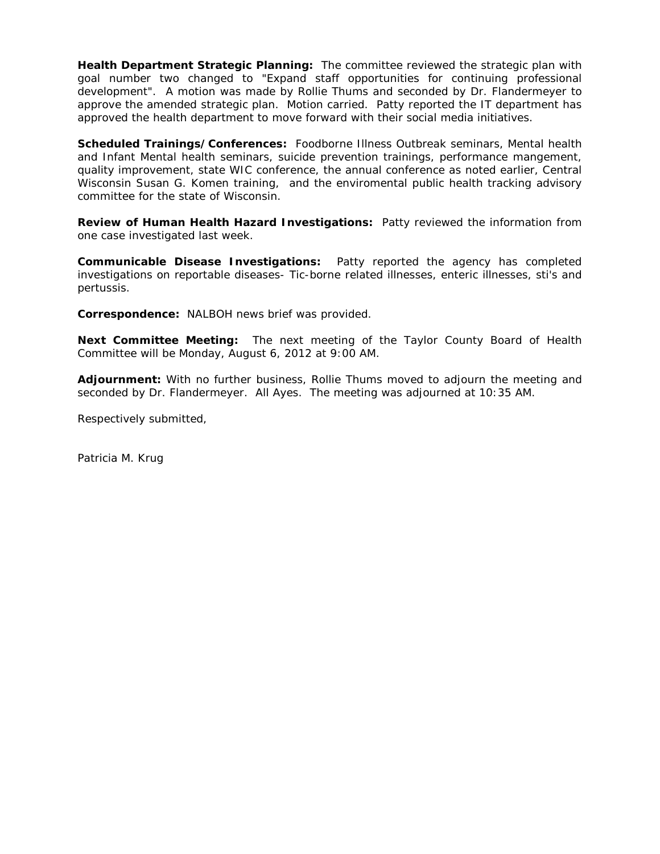**Health Department Strategic Planning:** The committee reviewed the strategic plan with goal number two changed to "Expand staff opportunities for continuing professional development". A motion was made by Rollie Thums and seconded by Dr. Flandermeyer to approve the amended strategic plan. Motion carried. Patty reported the IT department has approved the health department to move forward with their social media initiatives.

**Scheduled Trainings/Conferences:** Foodborne Illness Outbreak seminars, Mental health and Infant Mental health seminars, suicide prevention trainings, performance mangement, quality improvement, state WIC conference, the annual conference as noted earlier, Central Wisconsin Susan G. Komen training, and the enviromental public health tracking advisory committee for the state of Wisconsin.

**Review of Human Health Hazard Investigations:** Patty reviewed the information from one case investigated last week.

**Communicable Disease Investigations:** Patty reported the agency has completed investigations on reportable diseases- Tic-borne related illnesses, enteric illnesses, sti's and pertussis.

**Correspondence:** NALBOH news brief was provided.

**Next Committee Meeting:** The next meeting of the Taylor County Board of Health Committee will be Monday, August 6, 2012 at 9:00 AM.

**Adjournment:** With no further business, Rollie Thums moved to adjourn the meeting and seconded by Dr. Flandermeyer. All Ayes. The meeting was adjourned at 10:35 AM.

Respectively submitted,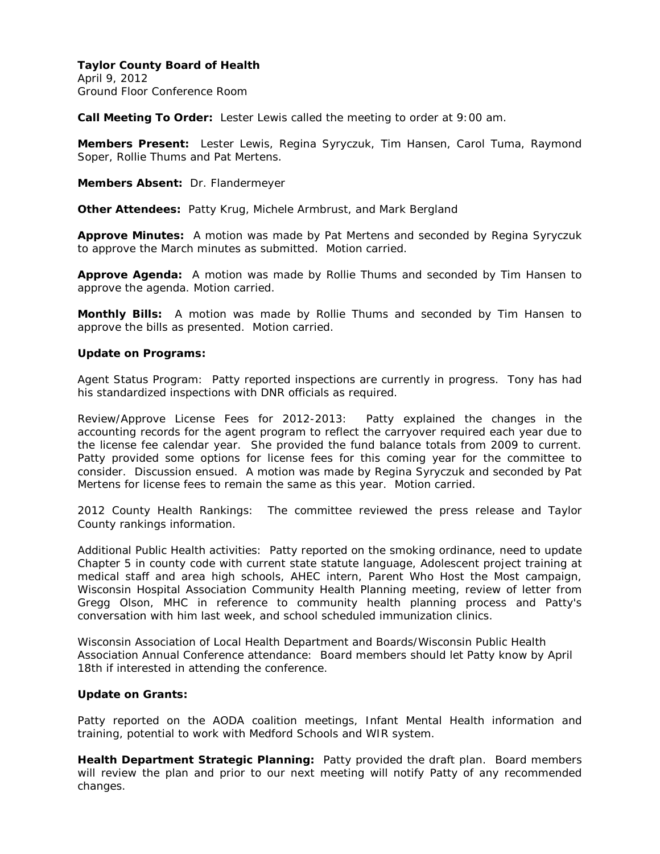April 9, 2012 Ground Floor Conference Room

**Call Meeting To Order:** Lester Lewis called the meeting to order at 9:00 am.

**Members Present:** Lester Lewis, Regina Syryczuk, Tim Hansen, Carol Tuma, Raymond Soper, Rollie Thums and Pat Mertens.

**Members Absent:** Dr. Flandermeyer

**Other Attendees:** Patty Krug, Michele Armbrust, and Mark Bergland

**Approve Minutes:** A motion was made by Pat Mertens and seconded by Regina Syryczuk to approve the March minutes as submitted. Motion carried.

**Approve Agenda:** A motion was made by Rollie Thums and seconded by Tim Hansen to approve the agenda. Motion carried.

**Monthly Bills:** A motion was made by Rollie Thums and seconded by Tim Hansen to approve the bills as presented. Motion carried.

## **Update on Programs:**

Agent Status Program: Patty reported inspections are currently in progress. Tony has had his standardized inspections with DNR officials as required.

Review/Approve License Fees for 2012-2013: Patty explained the changes in the accounting records for the agent program to reflect the carryover required each year due to the license fee calendar year. She provided the fund balance totals from 2009 to current. Patty provided some options for license fees for this coming year for the committee to consider. Discussion ensued. A motion was made by Regina Syryczuk and seconded by Pat Mertens for license fees to remain the same as this year. Motion carried.

2012 County Health Rankings: The committee reviewed the press release and Taylor County rankings information.

Additional Public Health activities: Patty reported on the smoking ordinance, need to update Chapter 5 in county code with current state statute language, Adolescent project training at medical staff and area high schools, AHEC intern, Parent Who Host the Most campaign, Wisconsin Hospital Association Community Health Planning meeting, review of letter from Gregg Olson, MHC in reference to community health planning process and Patty's conversation with him last week, and school scheduled immunization clinics.

Wisconsin Association of Local Health Department and Boards/Wisconsin Public Health Association Annual Conference attendance: Board members should let Patty know by April 18th if interested in attending the conference.

# **Update on Grants:**

Patty reported on the AODA coalition meetings, Infant Mental Health information and training, potential to work with Medford Schools and WIR system.

**Health Department Strategic Planning:** Patty provided the draft plan. Board members will review the plan and prior to our next meeting will notify Patty of any recommended changes.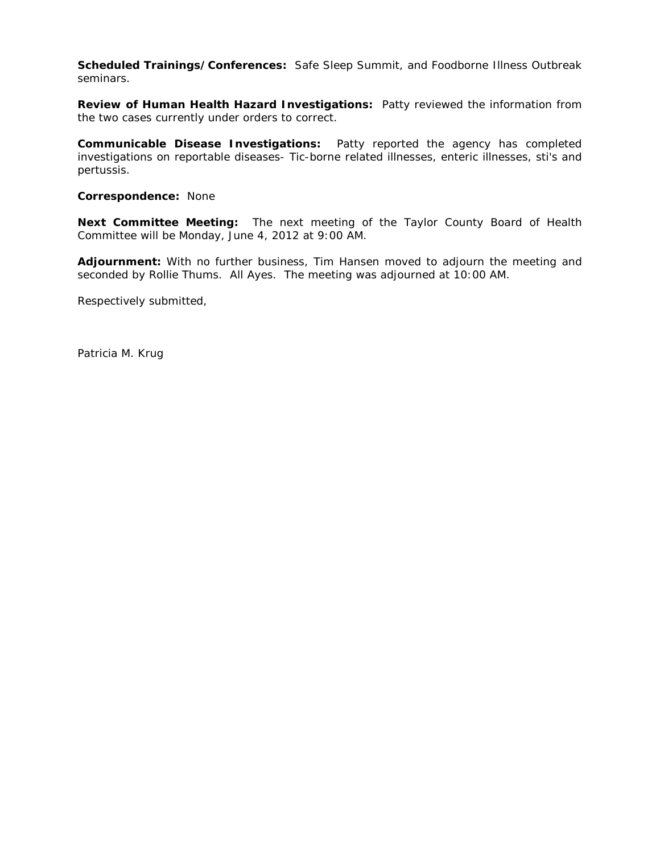**Scheduled Trainings/Conferences:** Safe Sleep Summit, and Foodborne Illness Outbreak seminars.

**Review of Human Health Hazard Investigations:** Patty reviewed the information from the two cases currently under orders to correct.

**Communicable Disease Investigations:** Patty reported the agency has completed investigations on reportable diseases- Tic-borne related illnesses, enteric illnesses, sti's and pertussis.

**Correspondence:** None

**Next Committee Meeting:** The next meeting of the Taylor County Board of Health Committee will be Monday, June 4, 2012 at 9:00 AM.

**Adjournment:** With no further business, Tim Hansen moved to adjourn the meeting and seconded by Rollie Thums. All Ayes. The meeting was adjourned at 10:00 AM.

Respectively submitted,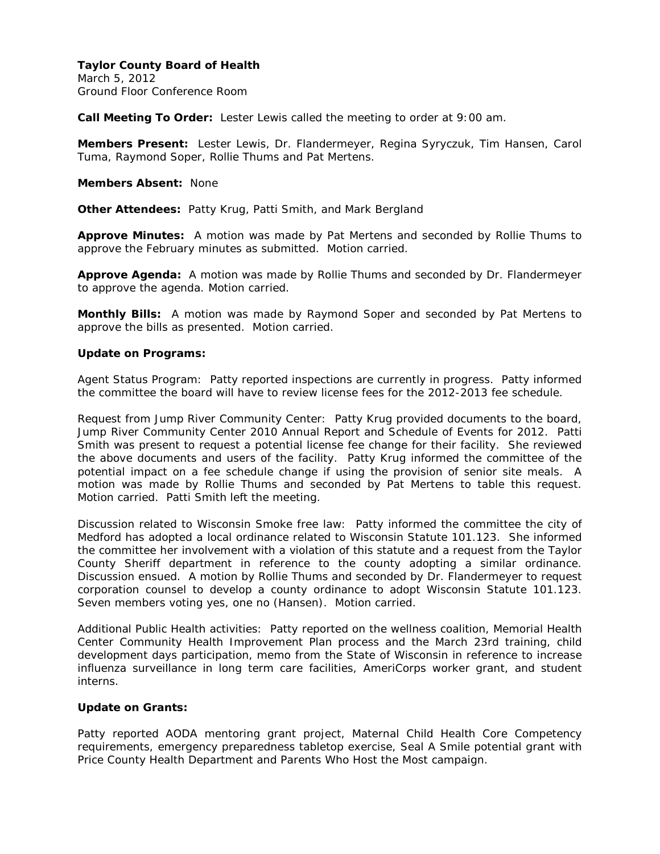March 5, 2012 Ground Floor Conference Room

**Call Meeting To Order:** Lester Lewis called the meeting to order at 9:00 am.

**Members Present:** Lester Lewis, Dr. Flandermeyer, Regina Syryczuk, Tim Hansen, Carol Tuma, Raymond Soper, Rollie Thums and Pat Mertens.

**Members Absent:** None

**Other Attendees:** Patty Krug, Patti Smith, and Mark Bergland

**Approve Minutes:** A motion was made by Pat Mertens and seconded by Rollie Thums to approve the February minutes as submitted. Motion carried.

**Approve Agenda:** A motion was made by Rollie Thums and seconded by Dr. Flandermeyer to approve the agenda. Motion carried.

**Monthly Bills:** A motion was made by Raymond Soper and seconded by Pat Mertens to approve the bills as presented. Motion carried.

#### **Update on Programs:**

Agent Status Program: Patty reported inspections are currently in progress. Patty informed the committee the board will have to review license fees for the 2012-2013 fee schedule.

Request from Jump River Community Center: Patty Krug provided documents to the board, Jump River Community Center 2010 Annual Report and Schedule of Events for 2012. Patti Smith was present to request a potential license fee change for their facility. She reviewed the above documents and users of the facility. Patty Krug informed the committee of the potential impact on a fee schedule change if using the provision of senior site meals. A motion was made by Rollie Thums and seconded by Pat Mertens to table this request. Motion carried. Patti Smith left the meeting.

Discussion related to Wisconsin Smoke free law: Patty informed the committee the city of Medford has adopted a local ordinance related to Wisconsin Statute 101.123. She informed the committee her involvement with a violation of this statute and a request from the Taylor County Sheriff department in reference to the county adopting a similar ordinance. Discussion ensued. A motion by Rollie Thums and seconded by Dr. Flandermeyer to request corporation counsel to develop a county ordinance to adopt Wisconsin Statute 101.123. Seven members voting yes, one no (Hansen). Motion carried.

Additional Public Health activities: Patty reported on the wellness coalition, Memorial Health Center Community Health Improvement Plan process and the March 23rd training, child development days participation, memo from the State of Wisconsin in reference to increase influenza surveillance in long term care facilities, AmeriCorps worker grant, and student interns.

### **Update on Grants:**

Patty reported AODA mentoring grant project, Maternal Child Health Core Competency requirements, emergency preparedness tabletop exercise, Seal A Smile potential grant with Price County Health Department and Parents Who Host the Most campaign.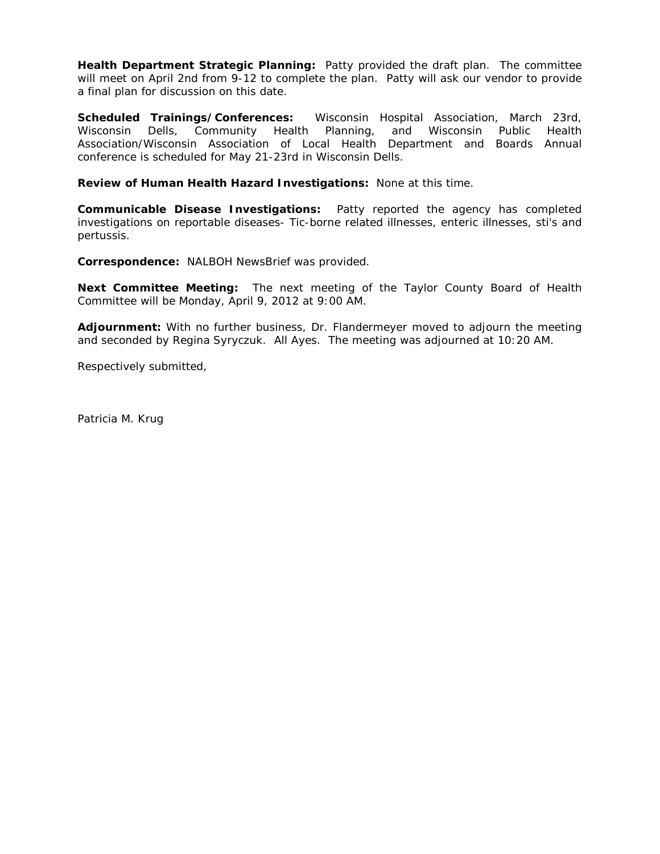**Health Department Strategic Planning:** Patty provided the draft plan. The committee will meet on April 2nd from 9-12 to complete the plan. Patty will ask our vendor to provide a final plan for discussion on this date.

**Scheduled Trainings/Conferences:** Wisconsin Hospital Association, March 23rd, Wisconsin Dells, Community Health Planning, and Wisconsin Public Health Association/Wisconsin Association of Local Health Department and Boards Annual conference is scheduled for May 21-23rd in Wisconsin Dells.

**Review of Human Health Hazard Investigations:** None at this time.

**Communicable Disease Investigations:** Patty reported the agency has completed investigations on reportable diseases- Tic-borne related illnesses, enteric illnesses, sti's and pertussis.

**Correspondence:** NALBOH NewsBrief was provided.

**Next Committee Meeting:** The next meeting of the Taylor County Board of Health Committee will be Monday, April 9, 2012 at 9:00 AM.

**Adjournment:** With no further business, Dr. Flandermeyer moved to adjourn the meeting and seconded by Regina Syryczuk. All Ayes. The meeting was adjourned at 10:20 AM.

Respectively submitted,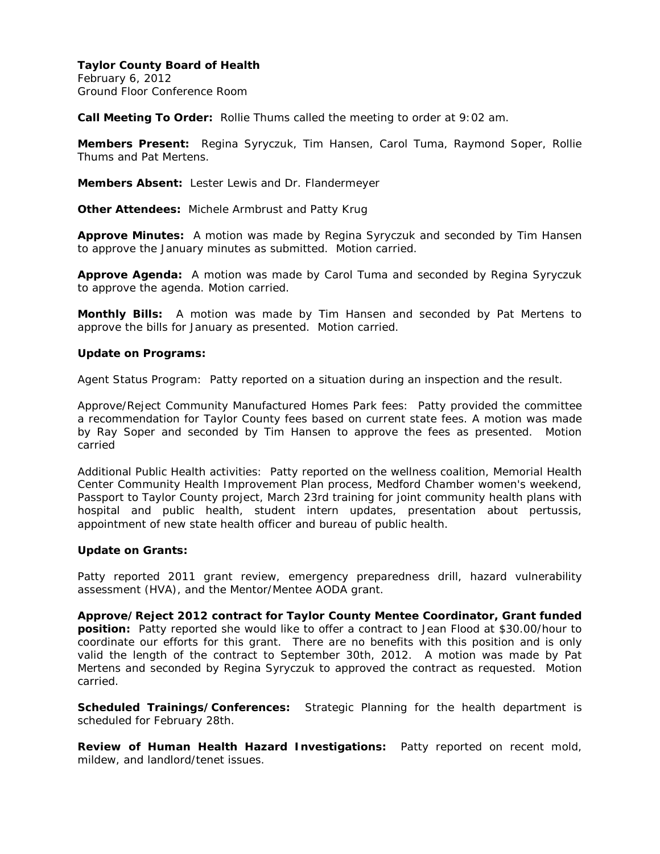February 6, 2012 Ground Floor Conference Room

**Call Meeting To Order:** Rollie Thums called the meeting to order at 9:02 am.

**Members Present:** Regina Syryczuk, Tim Hansen, Carol Tuma, Raymond Soper, Rollie Thums and Pat Mertens.

**Members Absent:** Lester Lewis and Dr. Flandermeyer

**Other Attendees:** Michele Armbrust and Patty Krug

**Approve Minutes:** A motion was made by Regina Syryczuk and seconded by Tim Hansen to approve the January minutes as submitted. Motion carried.

**Approve Agenda:** A motion was made by Carol Tuma and seconded by Regina Syryczuk to approve the agenda. Motion carried.

**Monthly Bills:** A motion was made by Tim Hansen and seconded by Pat Mertens to approve the bills for January as presented. Motion carried.

#### **Update on Programs:**

Agent Status Program: Patty reported on a situation during an inspection and the result.

Approve/Reject Community Manufactured Homes Park fees: Patty provided the committee a recommendation for Taylor County fees based on current state fees. A motion was made by Ray Soper and seconded by Tim Hansen to approve the fees as presented. Motion carried

Additional Public Health activities: Patty reported on the wellness coalition, Memorial Health Center Community Health Improvement Plan process, Medford Chamber women's weekend, Passport to Taylor County project, March 23rd training for joint community health plans with hospital and public health, student intern updates, presentation about pertussis, appointment of new state health officer and bureau of public health.

#### **Update on Grants:**

Patty reported 2011 grant review, emergency preparedness drill, hazard vulnerability assessment (HVA), and the Mentor/Mentee AODA grant.

**Approve/Reject 2012 contract for Taylor County Mentee Coordinator, Grant funded position:** Patty reported she would like to offer a contract to Jean Flood at \$30.00/hour to coordinate our efforts for this grant. There are no benefits with this position and is only valid the length of the contract to September 30th, 2012. A motion was made by Pat Mertens and seconded by Regina Syryczuk to approved the contract as requested. Motion carried.

**Scheduled Trainings/Conferences:** Strategic Planning for the health department is scheduled for February 28th.

**Review of Human Health Hazard Investigations:** Patty reported on recent mold, mildew, and landlord/tenet issues.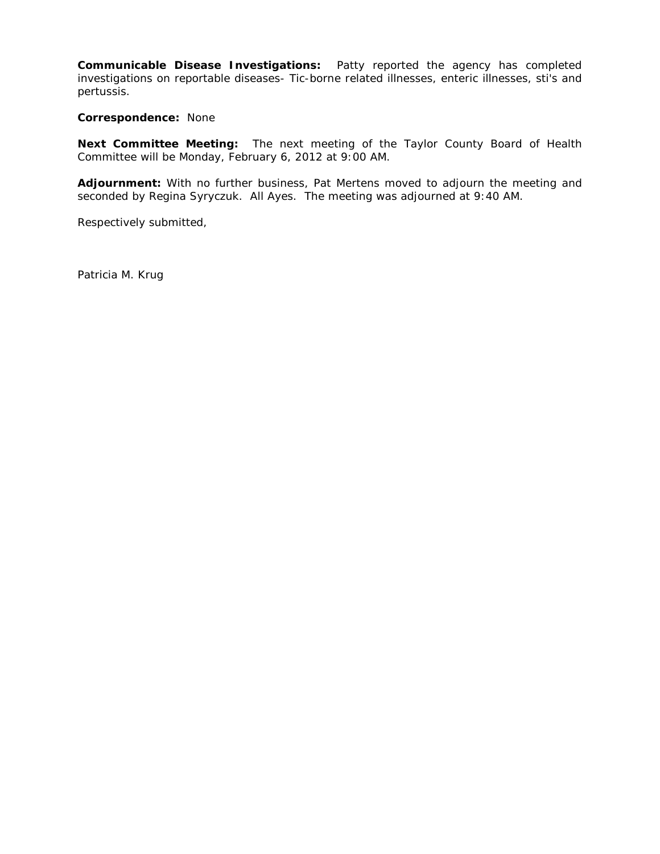**Communicable Disease Investigations:** Patty reported the agency has completed investigations on reportable diseases- Tic-borne related illnesses, enteric illnesses, sti's and pertussis.

**Correspondence:** None

**Next Committee Meeting:** The next meeting of the Taylor County Board of Health Committee will be Monday, February 6, 2012 at 9:00 AM.

**Adjournment:** With no further business, Pat Mertens moved to adjourn the meeting and seconded by Regina Syryczuk. All Ayes. The meeting was adjourned at 9:40 AM.

Respectively submitted,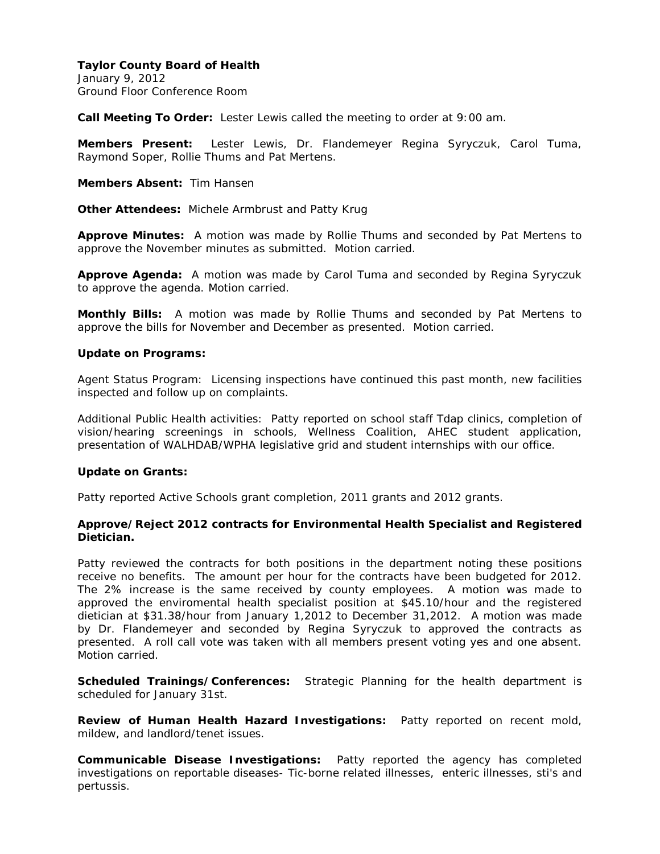January 9, 2012 Ground Floor Conference Room

**Call Meeting To Order:** Lester Lewis called the meeting to order at 9:00 am.

**Members Present:** Lester Lewis, Dr. Flandemeyer Regina Syryczuk, Carol Tuma, Raymond Soper, Rollie Thums and Pat Mertens.

**Members Absent:** Tim Hansen

**Other Attendees:** Michele Armbrust and Patty Krug

**Approve Minutes:** A motion was made by Rollie Thums and seconded by Pat Mertens to approve the November minutes as submitted. Motion carried.

**Approve Agenda:** A motion was made by Carol Tuma and seconded by Regina Syryczuk to approve the agenda. Motion carried.

**Monthly Bills:** A motion was made by Rollie Thums and seconded by Pat Mertens to approve the bills for November and December as presented. Motion carried.

#### **Update on Programs:**

Agent Status Program: Licensing inspections have continued this past month, new facilities inspected and follow up on complaints.

Additional Public Health activities: Patty reported on school staff Tdap clinics, completion of vision/hearing screenings in schools, Wellness Coalition, AHEC student application, presentation of WALHDAB/WPHA legislative grid and student internships with our office.

#### **Update on Grants:**

Patty reported Active Schools grant completion, 2011 grants and 2012 grants.

## **Approve/Reject 2012 contracts for Environmental Health Specialist and Registered Dietician.**

Patty reviewed the contracts for both positions in the department noting these positions receive no benefits. The amount per hour for the contracts have been budgeted for 2012. The 2% increase is the same received by county employees. A motion was made to approved the enviromental health specialist position at \$45.10/hour and the registered dietician at \$31.38/hour from January 1,2012 to December 31,2012. A motion was made by Dr. Flandemeyer and seconded by Regina Syryczuk to approved the contracts as presented. A roll call vote was taken with all members present voting yes and one absent. Motion carried.

**Scheduled Trainings/Conferences:** Strategic Planning for the health department is scheduled for January 31st.

**Review of Human Health Hazard Investigations:** Patty reported on recent mold, mildew, and landlord/tenet issues.

**Communicable Disease Investigations:** Patty reported the agency has completed investigations on reportable diseases- Tic-borne related illnesses, enteric illnesses, sti's and pertussis.